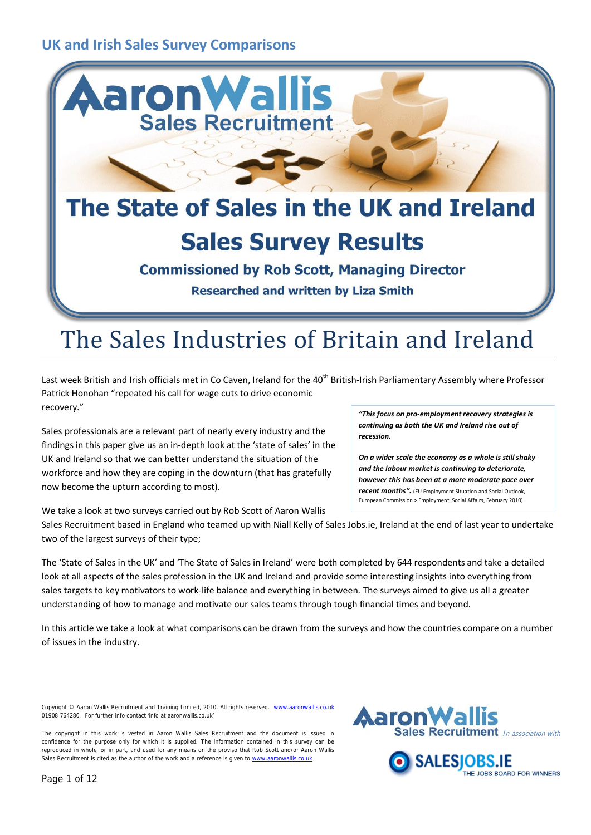

# The Sales Industries of Britain and Ireland

Last week British and Irish officials met in Co Caven, Ireland for the 40<sup>th</sup> British-Irish Parliamentary Assembly where Professor Patrick Honohan "repeated his call for wage cuts to drive economic recovery."

Sales professionals are a relevant part of nearly every industry and the findings in this paper give us an in-depth look at the 'state of sales' in the UK and Ireland so that we can better understand the situation of the workforce and how they are coping in the downturn (that has gratefully now become the upturn according to most).

We take a look at two surveys carried out by Rob Scott of Aaron Wallis

*"This focus on pro-employment recovery strategies is continuing as both the UK and Ireland rise out of recession.*

*On a wider scale the economy as a whole is still shaky and the labour market is continuing to deteriorate, however this has been at a more moderate pace over recent months".* (EU Employment Situation and Social Outlook, European Commission > Employment, Social Affairs, February 2010)

Sales Recruitment based in England who teamed up with Niall Kelly of Sales Jobs.ie, Ireland at the end of last year to undertake two of the largest surveys of their type;

The 'State of Sales in the UK' and 'The State of Sales in Ireland' were both completed by 644 respondents and take a detailed look at all aspects of the sales profession in the UK and Ireland and provide some interesting insights into everything from sales targets to key motivators to work-life balance and everything in between. The surveys aimed to give us all a greater understanding of how to manage and motivate our sales teams through tough financial times and beyond.

In this article we take a look at what comparisons can be drawn from the surveys and how the countries compare on a number of issues in the industry.

Copyright © Aaron Wallis Recruitment and Training Limited, 2010. All rights reserved. ww 01908 764280. For further info contact 'info at aaronwallis.co.uk'



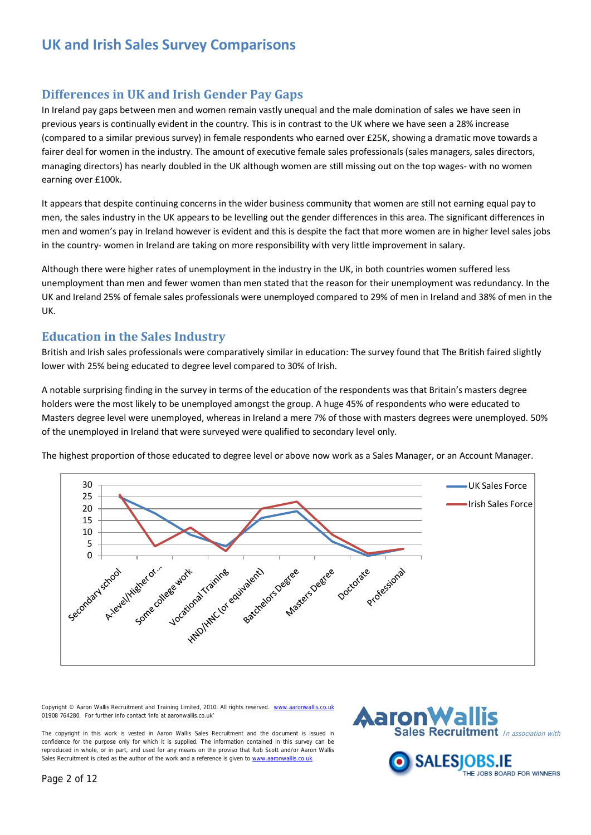#### **Differences in UK and Irish Gender Pay Gaps**

In Ireland pay gaps between men and women remain vastly unequal and the male domination of sales we have seen in previous years is continually evident in the country. This is in contrast to the UK where we have seen a 28% increase (compared to a similar previous survey) in female respondents who earned over £25K, showing a dramatic move towards a fairer deal for women in the industry. The amount of executive female sales professionals (sales managers, sales directors, managing directors) has nearly doubled in the UK although women are still missing out on the top wages- with no women earning over £100k.

It appears that despite continuing concerns in the wider business community that women are still not earning equal pay to men, the sales industry in the UK appears to be levelling out the gender differences in this area. The significant differences in men and women's pay in Ireland however is evident and this is despite the fact that more women are in higher level sales jobs in the country- women in Ireland are taking on more responsibility with very little improvement in salary.

Although there were higher rates of unemployment in the industry in the UK, in both countries women suffered less unemployment than men and fewer women than men stated that the reason for their unemployment was redundancy. In the UK and Ireland 25% of female sales professionals were unemployed compared to 29% of men in Ireland and 38% of men in the UK.

#### **Education in the Sales Industry**

British and Irish sales professionals were comparatively similar in education: The survey found that The British faired slightly lower with 25% being educated to degree level compared to 30% of Irish.

A notable surprising finding in the survey in terms of the education of the respondents was that Britain's masters degree holders were the most likely to be unemployed amongst the group. A huge 45% of respondents who were educated to Masters degree level were unemployed, whereas in Ireland a mere 7% of those with masters degrees were unemployed. 50% of the unemployed in Ireland that were surveyed were qualified to secondary level only.

The highest proportion of those educated to degree level or above now work as a Sales Manager, or an Account Manager.



Copyright © Aaron Wallis Recruitment and Training Limited, 2010. All rights reserved. ww 01908 764280. For further info contact 'info at aaronwallis.co.uk'



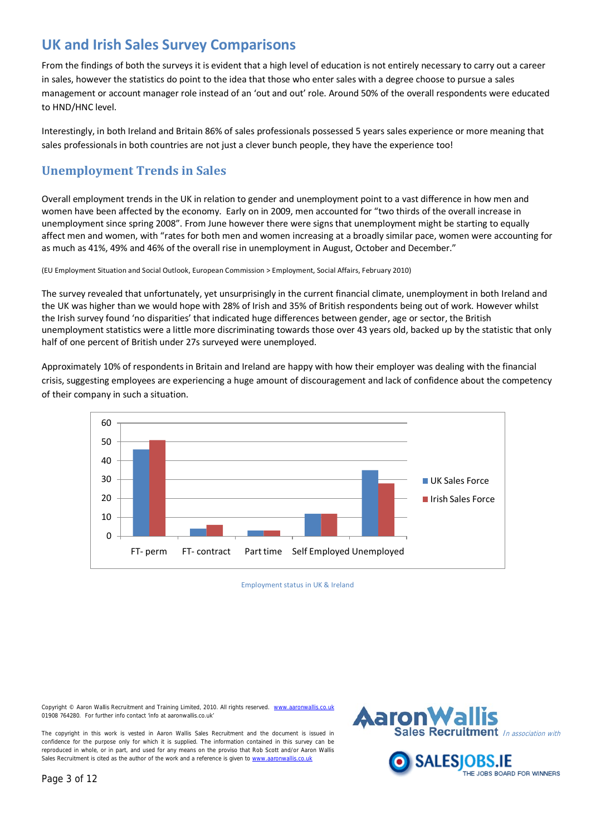From the findings of both the surveys it is evident that a high level of education is not entirely necessary to carry out a career in sales, however the statistics do point to the idea that those who enter sales with a degree choose to pursue a sales management or account manager role instead of an 'out and out' role. Around 50% of the overall respondents were educated to HND/HNC level.

Interestingly, in both Ireland and Britain 86% of sales professionals possessed 5 years sales experience or more meaning that sales professionals in both countries are not just a clever bunch people, they have the experience too!

### **Unemployment Trends in Sales**

Overall employment trends in the UK in relation to gender and unemployment point to a vast difference in how men and women have been affected by the economy. Early on in 2009, men accounted for "two thirds of the overall increase in unemployment since spring 2008". From June however there were signs that unemployment might be starting to equally affect men and women, with "rates for both men and women increasing at a broadly similar pace, women were accounting for as much as 41%, 49% and 46% of the overall rise in unemployment in August, October and December."

(EU Employment Situation and Social Outlook, European Commission > Employment, Social Affairs, February 2010)

The survey revealed that unfortunately, yet unsurprisingly in the current financial climate, unemployment in both Ireland and the UK was higher than we would hope with 28% of Irish and 35% of British respondents being out of work. However whilst the Irish survey found 'no disparities' that indicated huge differences between gender, age or sector, the British unemployment statistics were a little more discriminating towards those over 43 years old, backed up by the statistic that only half of one percent of British under 27s surveyed were unemployed.

Approximately 10% of respondents in Britain and Ireland are happy with how their employer was dealing with the financial crisis, suggesting employees are experiencing a huge amount of discouragement and lack of confidence about the competency of their company in such a situation.



Employment status in UK & Ireland

Copyright © Aaron Wallis Recruitment and Training Limited, 2010. All rights reserved. ww 01908 764280. For further info contact 'info at aaronwallis.co.uk'

The copyright in this work is vested in Aaron Wallis Sales Recruitment and the document is issued in confidence for the purpose only for which it is supplied. The information contained in this survey can be reproduced in whole, or in part, and used for any means on the proviso that Rob Scott and/or Aaron Wallis Sales Recruitment is cited as the author of the work and a reference is given t[o www.aaronwallis.co.uk](http://www.aaronwallis.co.uk/)



THE JOBS BOARD FOR WINNERS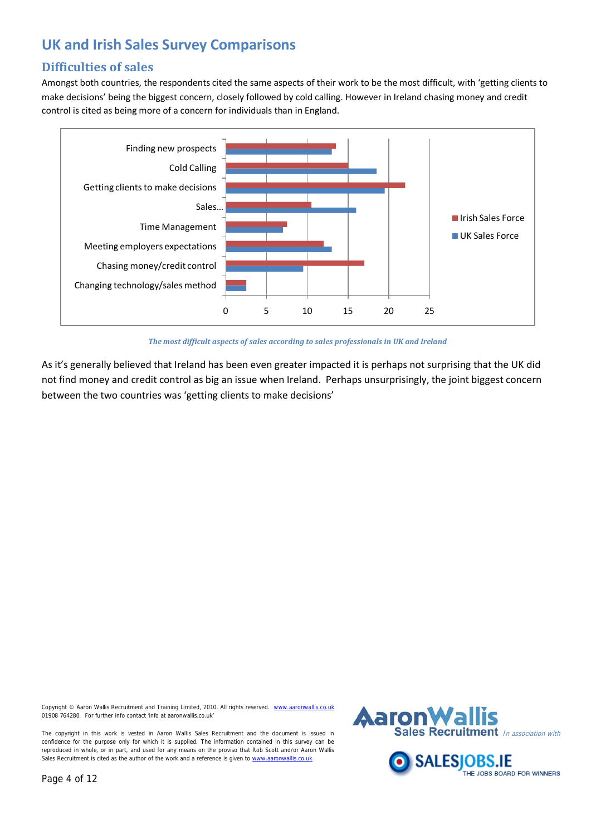### **Difficulties of sales**

Amongst both countries, the respondents cited the same aspects of their work to be the most difficult, with 'getting clients to make decisions' being the biggest concern, closely followed by cold calling. However in Ireland chasing money and credit control is cited as being more of a concern for individuals than in England.



*The most difficult aspects of sales according to sales professionals in UK and Ireland*

As it's generally believed that Ireland has been even greater impacted it is perhaps not surprising that the UK did not find money and credit control as big an issue when Ireland. Perhaps unsurprisingly, the joint biggest concern between the two countries was 'getting clients to make decisions'

Copyright © Aaron Wallis Recruitment and Training Limited, 2010. All rights reserved. ww 01908 764280. For further info contact 'info at aaronwallis.co.uk'

The copyright in this work is vested in Aaron Wallis Sales Recruitment and the document is issued in confidence for the purpose only for which it is supplied. The information contained in this survey can be reproduced in whole, or in part, and used for any means on the proviso that Rob Scott and/or Aaron Wallis Sales Recruitment is cited as the author of the work and a reference is given t[o www.aaronwallis.co.uk](http://www.aaronwallis.co.uk/)



THE JOBS BOARD FOR WINNERS

SALESI

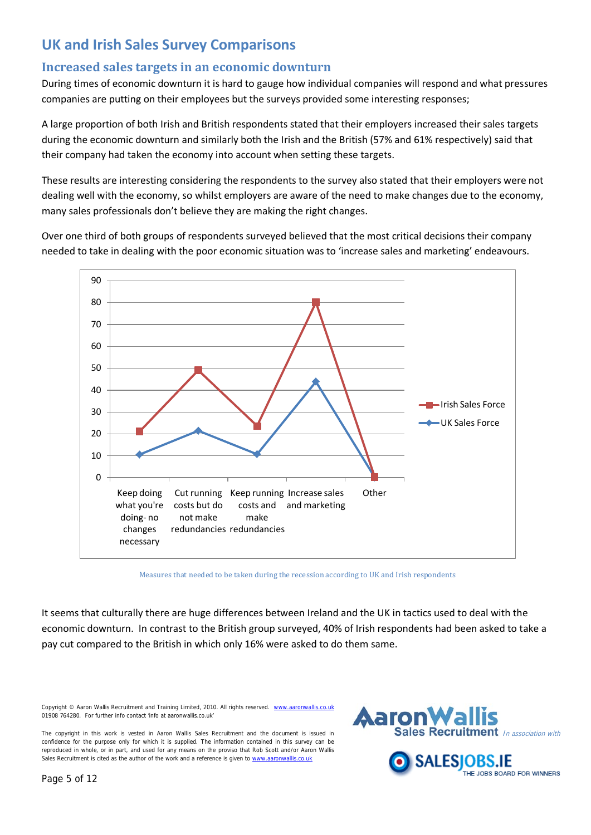### **Increased sales targets in an economic downturn**

During times of economic downturn it is hard to gauge how individual companies will respond and what pressures companies are putting on their employees but the surveys provided some interesting responses;

A large proportion of both Irish and British respondents stated that their employers increased their sales targets during the economic downturn and similarly both the Irish and the British (57% and 61% respectively) said that their company had taken the economy into account when setting these targets.

These results are interesting considering the respondents to the survey also stated that their employers were not dealing well with the economy, so whilst employers are aware of the need to make changes due to the economy, many sales professionals don't believe they are making the right changes.

Over one third of both groups of respondents surveyed believed that the most critical decisions their company needed to take in dealing with the poor economic situation was to 'increase sales and marketing' endeavours.



Measures that needed to be taken during the recession according to UK and Irish respondents

It seems that culturally there are huge differences between Ireland and the UK in tactics used to deal with the economic downturn. In contrast to the British group surveyed, 40% of Irish respondents had been asked to take a pay cut compared to the British in which only 16% were asked to do them same.

Copyright © Aaron Wallis Recruitment and Training Limited, 2010. All rights reserved. w 01908 764280. For further info contact 'info at aaronwallis.co.uk'



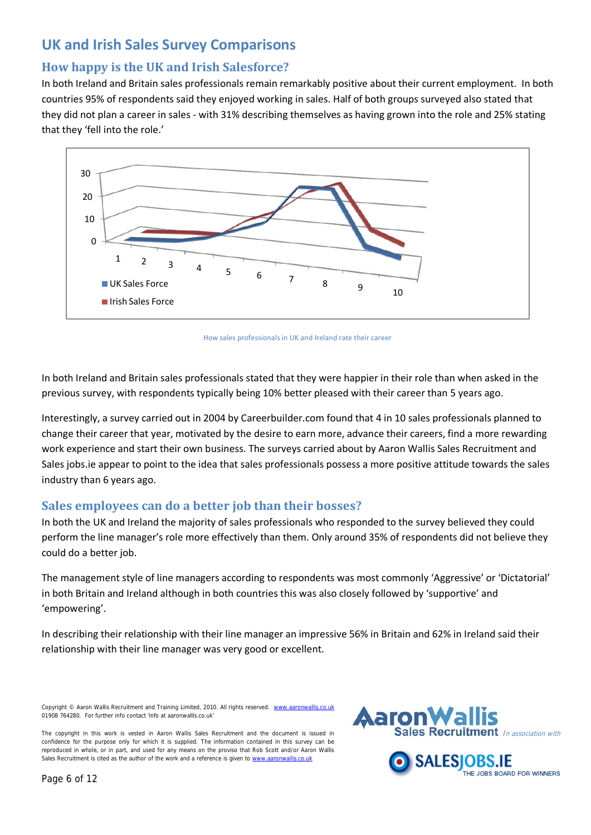### **How happy is the UK and Irish Salesforce?**

In both Ireland and Britain sales professionals remain remarkably positive about their current employment. In both countries 95% of respondents said they enjoyed working in sales. Half of both groups surveyed also stated that they did not plan a career in sales - with 31% describing themselves as having grown into the role and 25% stating that they 'fell into the role.'



How sales professionals in UK and Ireland rate their career

In both Ireland and Britain sales professionals stated that they were happier in their role than when asked in the previous survey, with respondents typically being 10% better pleased with their career than 5 years ago.

Interestingly, a survey carried out in 2004 by Careerbuilder.com found that 4 in 10 sales professionals planned to change their career that year, motivated by the desire to earn more, advance their careers, find a more rewarding work experience and start their own business. The surveys carried about by Aaron Wallis Sales Recruitment and Sales jobs.ie appear to point to the idea that sales professionals possess a more positive attitude towards the sales industry than 6 years ago.

#### **Sales employees can do a better job than their bosses?**

In both the UK and Ireland the majority of sales professionals who responded to the survey believed they could perform the line manager's role more effectively than them. Only around 35% of respondents did not believe they could do a better job.

The management style of line managers according to respondents was most commonly 'Aggressive' or 'Dictatorial' in both Britain and Ireland although in both countries this was also closely followed by 'supportive' and 'empowering'.

In describing their relationship with their line manager an impressive 56% in Britain and 62% in Ireland said their relationship with their line manager was very good or excellent.

Copyright © Aaron Wallis Recruitment and Training Limited, 2010. All rights reserved. w 01908 764280. For further info contact 'info at aaronwallis.co.uk'



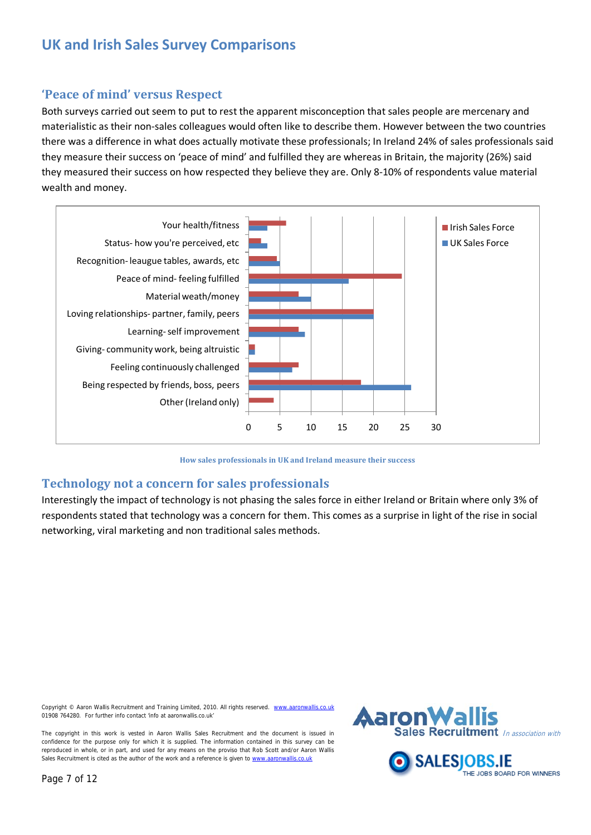#### **'Peace of mind' versus Respect**

Both surveys carried out seem to put to rest the apparent misconception that sales people are mercenary and materialistic as their non-sales colleagues would often like to describe them. However between the two countries there was a difference in what does actually motivate these professionals; In Ireland 24% of sales professionals said they measure their success on 'peace of mind' and fulfilled they are whereas in Britain, the majority (26%) said they measured their success on how respected they believe they are. Only 8-10% of respondents value material wealth and money.



**How sales professionals in UK and Ireland measure their success**

#### **Technology not a concern for sales professionals**

Interestingly the impact of technology is not phasing the sales force in either Ireland or Britain where only 3% of respondents stated that technology was a concern for them. This comes as a surprise in light of the rise in social networking, viral marketing and non traditional sales methods.

Copyright © Aaron Wallis Recruitment and Training Limited, 2010. All rights reserved. ww 01908 764280. For further info contact 'info at aaronwallis.co.uk'



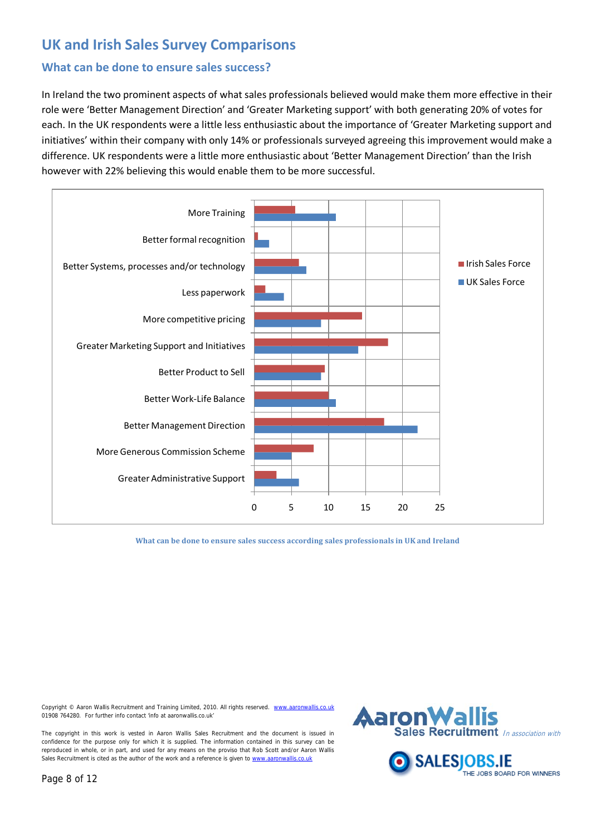#### **What can be done to ensure sales success?**

In Ireland the two prominent aspects of what sales professionals believed would make them more effective in their role were 'Better Management Direction' and 'Greater Marketing support' with both generating 20% of votes for each. In the UK respondents were a little less enthusiastic about the importance of 'Greater Marketing support and initiatives' within their company with only 14% or professionals surveyed agreeing this improvement would make a difference. UK respondents were a little more enthusiastic about 'Better Management Direction' than the Irish however with 22% believing this would enable them to be more successful.



**What can be done to ensure sales success according sales professionals in UK and Ireland**

Copyright © Aaron Wallis Recruitment and Training Limited, 2010. All rights reserved. www. 01908 764280. For further info contact 'info at aaronwallis.co.uk'

The copyright in this work is vested in Aaron Wallis Sales Recruitment and the document is issued in confidence for the purpose only for which it is supplied. The information contained in this survey can be reproduced in whole, or in part, and used for any means on the proviso that Rob Scott and/or Aaron Wallis Sales Recruitment is cited as the author of the work and a reference is given t[o www.aaronwallis.co.uk](http://www.aaronwallis.co.uk/)



THE JOBS BOARD FOR WINNERS

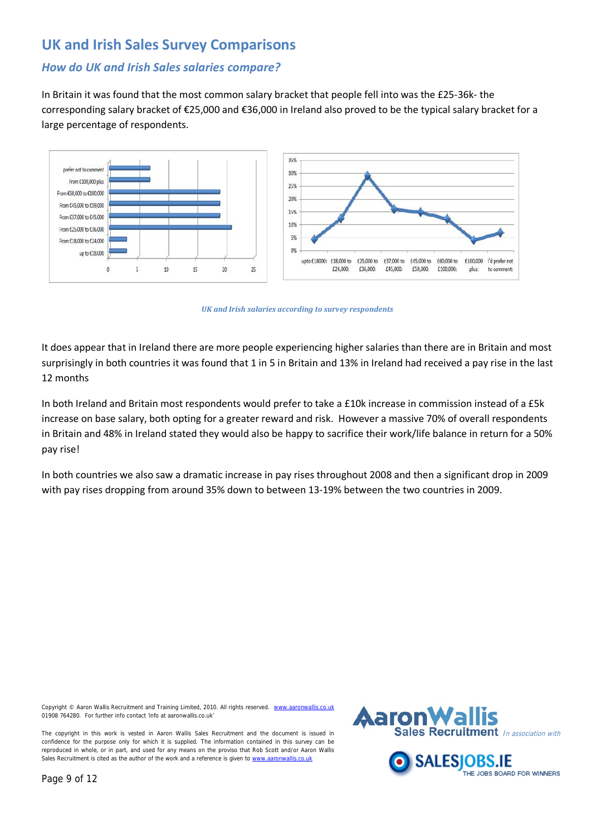#### *How do UK and Irish Sales salaries compare?*

In Britain it was found that the most common salary bracket that people fell into was the £25-36k- the corresponding salary bracket of €25,000 and €36,000 in Ireland also proved to be the typical salary bracket for a large percentage of respondents.



*UK and Irish salaries according to survey respondents*

It does appear that in Ireland there are more people experiencing higher salaries than there are in Britain and most surprisingly in both countries it was found that 1 in 5 in Britain and 13% in Ireland had received a pay rise in the last 12 months

In both Ireland and Britain most respondents would prefer to take a £10k increase in commission instead of a £5k increase on base salary, both opting for a greater reward and risk. However a massive 70% of overall respondents in Britain and 48% in Ireland stated they would also be happy to sacrifice their work/life balance in return for a 50% pay rise!

In both countries we also saw a dramatic increase in pay rises throughout 2008 and then a significant drop in 2009 with pay rises dropping from around 35% down to between 13-19% between the two countries in 2009.

Copyright © Aaron Wallis Recruitment and Training Limited, 2010. All rights reserved. ww 01908 764280. For further info contact 'info at aaronwallis.co.uk'





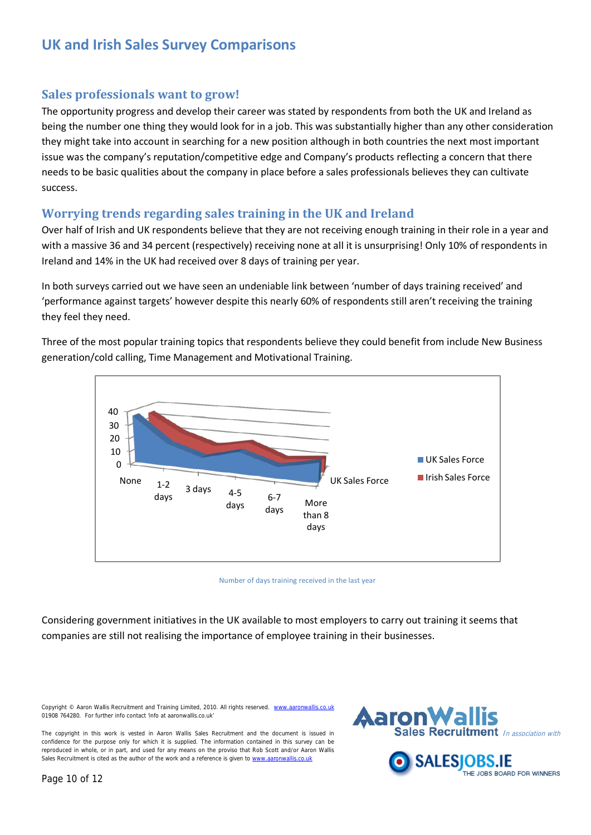#### **Sales professionals want to grow!**

The opportunity progress and develop their career was stated by respondents from both the UK and Ireland as being the number one thing they would look for in a job. This was substantially higher than any other consideration they might take into account in searching for a new position although in both countries the next most important issue was the company's reputation/competitive edge and Company's products reflecting a concern that there needs to be basic qualities about the company in place before a sales professionals believes they can cultivate success.

#### **Worrying trends regarding sales training in the UK and Ireland**

Over half of Irish and UK respondents believe that they are not receiving enough training in their role in a year and with a massive 36 and 34 percent (respectively) receiving none at all it is unsurprising! Only 10% of respondents in Ireland and 14% in the UK had received over 8 days of training per year.

In both surveys carried out we have seen an undeniable link between 'number of days training received' and 'performance against targets' however despite this nearly 60% of respondents still aren't receiving the training they feel they need.

Three of the most popular training topics that respondents believe they could benefit from include New Business generation/cold calling, Time Management and Motivational Training.



Number of days training received in the last year

Considering government initiatives in the UK available to most employers to carry out training it seems that companies are still not realising the importance of employee training in their businesses.

Copyright © Aaron Wallis Recruitment and Training Limited, 2010. All rights reserved. w 01908 764280. For further info contact 'info at aaronwallis.co.uk'



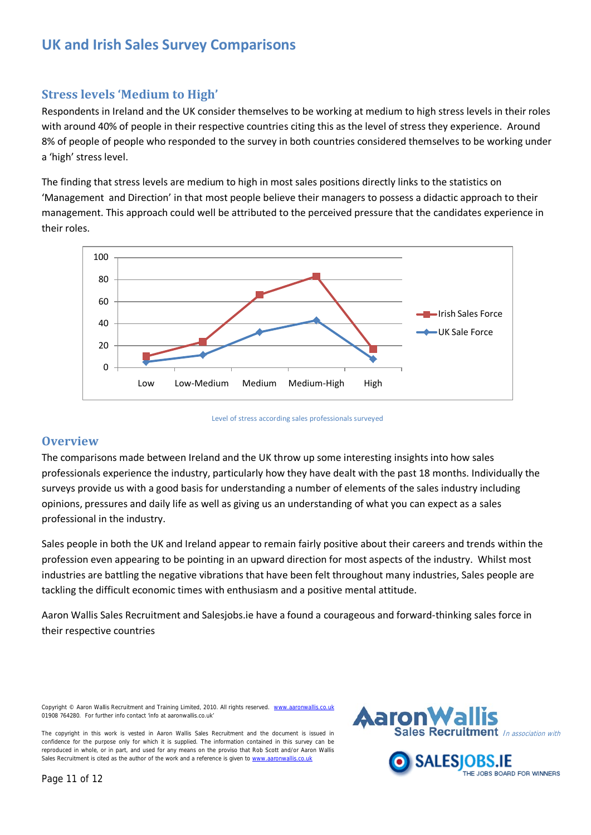#### **Stress levels 'Medium to High'**

Respondents in Ireland and the UK consider themselves to be working at medium to high stress levels in their roles with around 40% of people in their respective countries citing this as the level of stress they experience. Around 8% of people of people who responded to the survey in both countries considered themselves to be working under a 'high' stress level.

The finding that stress levels are medium to high in most sales positions directly links to the statistics on 'Management and Direction' in that most people believe their managers to possess a didactic approach to their management. This approach could well be attributed to the perceived pressure that the candidates experience in their roles.



Level of stress according sales professionals surveyed

#### **Overview**

The comparisons made between Ireland and the UK throw up some interesting insights into how sales professionals experience the industry, particularly how they have dealt with the past 18 months. Individually the surveys provide us with a good basis for understanding a number of elements of the sales industry including opinions, pressures and daily life as well as giving us an understanding of what you can expect as a sales professional in the industry.

Sales people in both the UK and Ireland appear to remain fairly positive about their careers and trends within the profession even appearing to be pointing in an upward direction for most aspects of the industry. Whilst most industries are battling the negative vibrations that have been felt throughout many industries, Sales people are tackling the difficult economic times with enthusiasm and a positive mental attitude.

Aaron Wallis Sales Recruitment and Salesjobs.ie have a found a courageous and forward-thinking sales force in their respective countries

Copyright © Aaron Wallis Recruitment and Training Limited, 2010. All rights reserved. ww 01908 764280. For further info contact 'info at aaronwallis.co.uk'